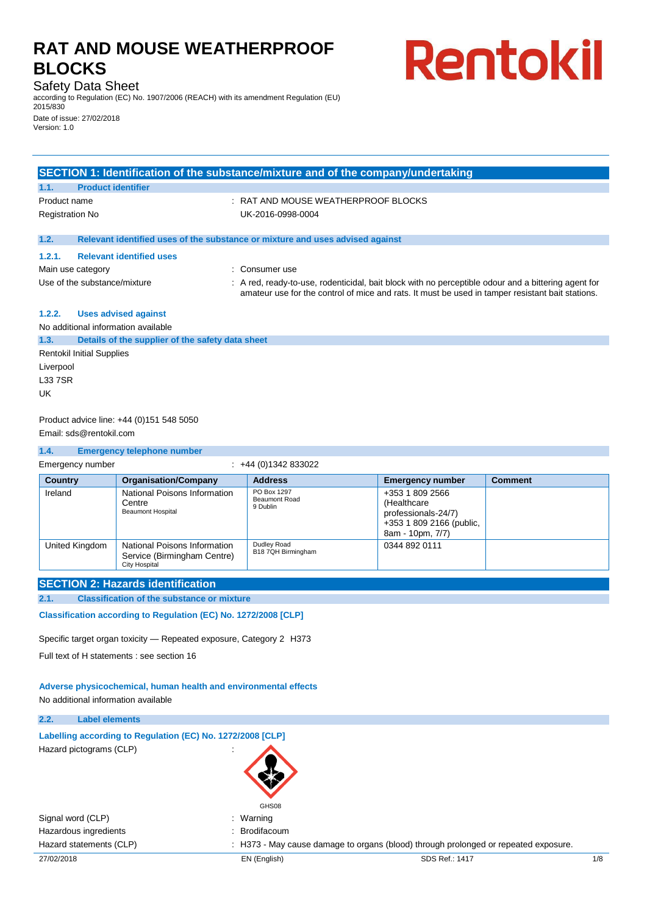## Safety Data Sheet

according to Regulation (EC) No. 1907/2006 (REACH) with its amendment Regulation (EU) 2015/830

Rentokil

Date of issue: 27/02/2018 Version: 1.0

## **SECTION 1: Identification of the substance/mixture and of the company/undertaking**

# **1.1. Product identifier**

Product name  $\overline{R}$ : RAT AND MOUSE WEATHERPROOF BLOCKS Registration No UK-2016-0998-0004

### **1.2. Relevant identified uses of the substance or mixture and uses advised against**

#### **1.2.1. Relevant identified uses**

Main use category **Example 20** and the consumer use

- 
- 
- 
- Use of the substance/mixture : A red, ready-to-use, rodenticidal, bait block with no perceptible odour and a bittering agent for amateur use for the control of mice and rats. It must be used in tamper resistant bait stations.

## **1.2.2. Uses advised against**

No additional information available

## **1.3. Details of the supplier of the safety data sheet** Rentokil Initial Supplies Liverpool L33 7SR

UK

### Product advice line: +44 (0)151 548 5050 Email: sds@rentokil.com

#### **1.4. Emergency telephone number** Emergency number : +44 (0)1342 833022 **Country Organisation/Company Address Emergency number Comment** Ireland National Poisons Information **Centre** Beaumont Hospital PO Box 1297 Beaumont Road 9 Dublin +353 1 809 2566 (Healthcare professionals-24/7) +353 1 809 2166 (public, 8am - 10pm, 7/7) United Kingdom | National Poisons Information Service (Birmingham Centre) Dudley Road B18 7QH Birmingham 0344 892 0111

## **SECTION 2: Hazards identification**

## **2.1. Classification of the substance or mixture**

City Hospital

**Classification according to Regulation (EC) No. 1272/2008 [CLP]** 

Specific target organ toxicity — Repeated exposure, Category 2 H373

Full text of H statements : see section 16

**Adverse physicochemical, human health and environmental effects** No additional information available

#### **2.2. Label elements**

| Labelling according to Regulation (EC) No. 1272/2008 [CLP] |  |
|------------------------------------------------------------|--|
| Hazard pictograms (CLP)                                    |  |

**GHS08** 

Hazard statements (CLP) : H373 - May cause damage to organs (blood) through prolonged or repeated exposure.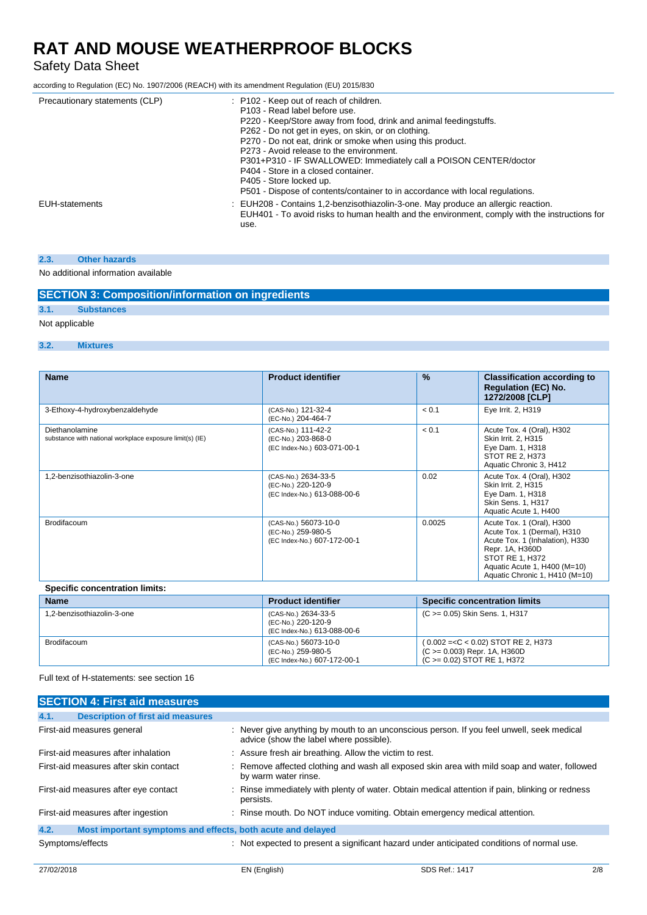## Safety Data Sheet

according to Regulation (EC) No. 1907/2006 (REACH) with its amendment Regulation (EU) 2015/830

| Precautionary statements (CLP) | : P102 - Keep out of reach of children.<br>P103 - Read label before use.<br>P220 - Keep/Store away from food, drink and animal feedingstuffs.<br>P262 - Do not get in eyes, on skin, or on clothing.<br>P270 - Do not eat, drink or smoke when using this product.<br>P273 - Avoid release to the environment.<br>P301+P310 - IF SWALLOWED: Immediately call a POISON CENTER/doctor<br>P404 - Store in a closed container.<br>P405 - Store locked up.<br>P501 - Dispose of contents/container to in accordance with local regulations. |
|--------------------------------|----------------------------------------------------------------------------------------------------------------------------------------------------------------------------------------------------------------------------------------------------------------------------------------------------------------------------------------------------------------------------------------------------------------------------------------------------------------------------------------------------------------------------------------|
| EUH-statements                 | : EUH208 - Contains 1,2-benzisothiazolin-3-one. May produce an allergic reaction.<br>EUH401 - To avoid risks to human health and the environment, comply with the instructions for<br>use.                                                                                                                                                                                                                                                                                                                                             |

### **2.3. Other hazards**

No additional information available

## **SECTION 3: Composition/information on ingredients**

**3.1. Substances**

## Not applicable

### **3.2. Mixtures**

| <b>Name</b>                                                                | <b>Product identifier</b>                                                 | $\frac{9}{6}$ | <b>Classification according to</b><br><b>Regulation (EC) No.</b><br>1272/2008 [CLP]                                                                                                                 |
|----------------------------------------------------------------------------|---------------------------------------------------------------------------|---------------|-----------------------------------------------------------------------------------------------------------------------------------------------------------------------------------------------------|
| 3-Ethoxy-4-hydroxybenzaldehyde                                             | (CAS-No.) 121-32-4<br>(EC-No.) 204-464-7                                  | < 0.1         | Eye Irrit. 2, H319                                                                                                                                                                                  |
| Diethanolamine<br>substance with national workplace exposure limit(s) (IE) | (CAS-No.) 111-42-2<br>(EC-No.) 203-868-0<br>(EC Index-No.) 603-071-00-1   | < 0.1         | Acute Tox. 4 (Oral), H302<br>Skin Irrit. 2, H315<br>Eye Dam. 1, H318<br>STOT RE 2, H373<br>Aquatic Chronic 3, H412                                                                                  |
| 1,2-benzisothiazolin-3-one                                                 | (CAS-No.) 2634-33-5<br>(EC-No.) 220-120-9<br>(EC Index-No.) 613-088-00-6  | 0.02          | Acute Tox. 4 (Oral), H302<br>Skin Irrit. 2, H315<br>Eye Dam. 1, H318<br>Skin Sens. 1, H317<br>Aquatic Acute 1, H400                                                                                 |
| <b>Brodifacoum</b>                                                         | (CAS-No.) 56073-10-0<br>(EC-No.) 259-980-5<br>(EC Index-No.) 607-172-00-1 | 0.0025        | Acute Tox. 1 (Oral), H300<br>Acute Tox. 1 (Dermal), H310<br>Acute Tox. 1 (Inhalation), H330<br>Repr. 1A, H360D<br>STOT RE 1, H372<br>Aquatic Acute 1, H400 (M=10)<br>Aquatic Chronic 1, H410 (M=10) |
| <b>Specific concentration limits:</b>                                      |                                                                           |               |                                                                                                                                                                                                     |

| <b>Name</b>                | <b>Product identifier</b>                                                 | <b>Specific concentration limits</b>                                                                  |
|----------------------------|---------------------------------------------------------------------------|-------------------------------------------------------------------------------------------------------|
| 1.2-benzisothiazolin-3-one | (CAS-No.) 2634-33-5<br>(EC-No.) 220-120-9<br>(EC Index-No.) 613-088-00-6  | (C >= 0.05) Skin Sens. 1, H317                                                                        |
| <b>Brodifacoum</b>         | (CAS-No.) 56073-10-0<br>(EC-No.) 259-980-5<br>(EC Index-No.) 607-172-00-1 | $(0.002 = < C < 0.02)$ STOT RE 2, H373<br>(C >= 0.003) Repr. 1A, H360D<br>(C >= 0.02) STOT RE 1, H372 |

Full text of H-statements: see section 16

|                  | <b>SECTION 4: First aid measures</b>                        |                                                                                                                                      |
|------------------|-------------------------------------------------------------|--------------------------------------------------------------------------------------------------------------------------------------|
| 4.1.             | <b>Description of first aid measures</b>                    |                                                                                                                                      |
|                  | First-aid measures general                                  | : Never give anything by mouth to an unconscious person. If you feel unwell, seek medical<br>advice (show the label where possible). |
|                  | First-aid measures after inhalation                         | : Assure fresh air breathing. Allow the victim to rest.                                                                              |
|                  | First-aid measures after skin contact                       | : Remove affected clothing and wash all exposed skin area with mild soap and water, followed<br>by warm water rinse.                 |
|                  | First-aid measures after eye contact                        | : Rinse immediately with plenty of water. Obtain medical attention if pain, blinking or redness<br>persists.                         |
|                  | First-aid measures after ingestion                          | : Rinse mouth. Do NOT induce vomiting. Obtain emergency medical attention.                                                           |
| 4.2.             | Most important symptoms and effects, both acute and delayed |                                                                                                                                      |
| Symptoms/effects |                                                             | : Not expected to present a significant hazard under anticipated conditions of normal use.                                           |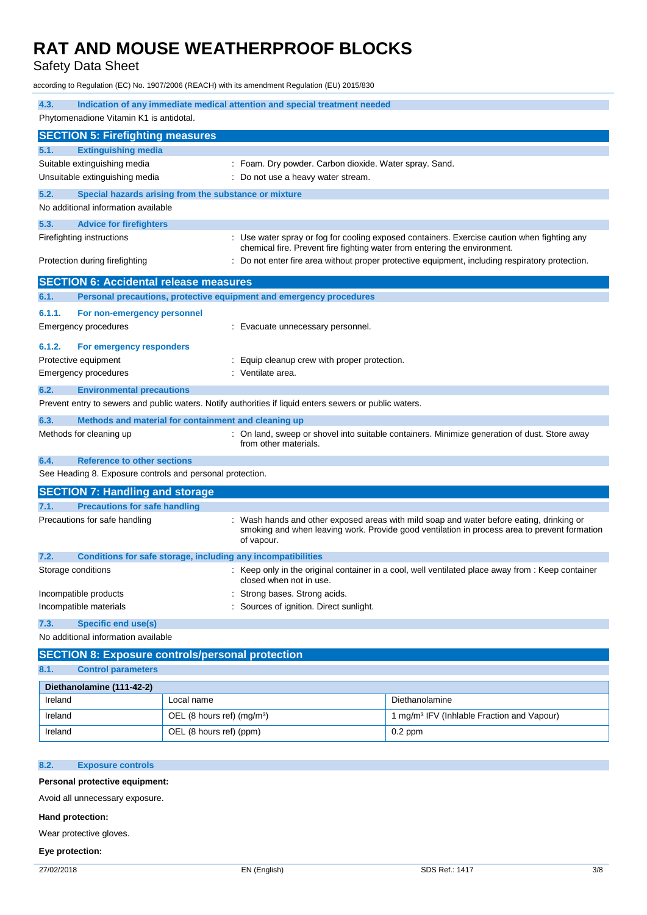Safety Data Sheet

according to Regulation (EC) No. 1907/2006 (REACH) with its amendment Regulation (EU) 2015/830

| 4.3.                                                                                                    | Indication of any immediate medical attention and special treatment needed                                                                                                                           |  |
|---------------------------------------------------------------------------------------------------------|------------------------------------------------------------------------------------------------------------------------------------------------------------------------------------------------------|--|
| Phytomenadione Vitamin K1 is antidotal.                                                                 |                                                                                                                                                                                                      |  |
| <b>SECTION 5: Firefighting measures</b>                                                                 |                                                                                                                                                                                                      |  |
| <b>Extinguishing media</b><br>5.1.                                                                      |                                                                                                                                                                                                      |  |
| Suitable extinguishing media                                                                            | : Foam. Dry powder. Carbon dioxide. Water spray. Sand.                                                                                                                                               |  |
| Unsuitable extinguishing media                                                                          | Do not use a heavy water stream.                                                                                                                                                                     |  |
| 5.2.<br>Special hazards arising from the substance or mixture                                           |                                                                                                                                                                                                      |  |
| No additional information available                                                                     |                                                                                                                                                                                                      |  |
| 5.3.<br><b>Advice for firefighters</b>                                                                  |                                                                                                                                                                                                      |  |
| Firefighting instructions                                                                               | : Use water spray or fog for cooling exposed containers. Exercise caution when fighting any<br>chemical fire. Prevent fire fighting water from entering the environment.                             |  |
| Protection during firefighting                                                                          | : Do not enter fire area without proper protective equipment, including respiratory protection.                                                                                                      |  |
| <b>SECTION 6: Accidental release measures</b>                                                           |                                                                                                                                                                                                      |  |
| 6.1.<br>Personal precautions, protective equipment and emergency procedures                             |                                                                                                                                                                                                      |  |
| 6.1.1.<br>For non-emergency personnel                                                                   |                                                                                                                                                                                                      |  |
| <b>Emergency procedures</b>                                                                             | : Evacuate unnecessary personnel.                                                                                                                                                                    |  |
| 6.1.2.<br>For emergency responders                                                                      |                                                                                                                                                                                                      |  |
| Protective equipment                                                                                    | Equip cleanup crew with proper protection.                                                                                                                                                           |  |
| <b>Emergency procedures</b>                                                                             | : Ventilate area.                                                                                                                                                                                    |  |
| 6.2.<br><b>Environmental precautions</b>                                                                |                                                                                                                                                                                                      |  |
| Prevent entry to sewers and public waters. Notify authorities if liquid enters sewers or public waters. |                                                                                                                                                                                                      |  |
| 6.3.<br>Methods and material for containment and cleaning up                                            |                                                                                                                                                                                                      |  |
| Methods for cleaning up                                                                                 | : On land, sweep or shovel into suitable containers. Minimize generation of dust. Store away<br>from other materials.                                                                                |  |
| <b>Reference to other sections</b><br>6.4.                                                              |                                                                                                                                                                                                      |  |
| See Heading 8. Exposure controls and personal protection.                                               |                                                                                                                                                                                                      |  |
| <b>SECTION 7: Handling and storage</b>                                                                  |                                                                                                                                                                                                      |  |
| <b>Precautions for safe handling</b><br>7.1.                                                            |                                                                                                                                                                                                      |  |
| Precautions for safe handling                                                                           | Wash hands and other exposed areas with mild soap and water before eating, drinking or<br>smoking and when leaving work. Provide good ventilation in process area to prevent formation<br>of vapour. |  |
| 7.2.<br>Conditions for safe storage, including any incompatibilities                                    |                                                                                                                                                                                                      |  |
| Storage conditions                                                                                      | : Keep only in the original container in a cool, well ventilated place away from : Keep container<br>closed when not in use.                                                                         |  |
| Incompatible products                                                                                   | Strong bases. Strong acids.                                                                                                                                                                          |  |
| Incompatible materials                                                                                  | Sources of ignition. Direct sunlight.                                                                                                                                                                |  |
| 7.3.<br><b>Specific end use(s)</b>                                                                      |                                                                                                                                                                                                      |  |
| No additional information available                                                                     |                                                                                                                                                                                                      |  |
| <b>SECTION 8: Exposure controls/personal protection</b>                                                 |                                                                                                                                                                                                      |  |
| 8.1.<br><b>Control parameters</b>                                                                       |                                                                                                                                                                                                      |  |

| Diethanolamine (111-42-2) |                                        |                                                        |  |
|---------------------------|----------------------------------------|--------------------------------------------------------|--|
| Ireland                   | Local name                             | Diethanolamine                                         |  |
| Ireland                   | OEL (8 hours ref) (mg/m <sup>3</sup> ) | 1 mg/m <sup>3</sup> IFV (Inhlable Fraction and Vapour) |  |
| Ireland                   | OEL (8 hours ref) (ppm)                | $0.2$ ppm                                              |  |

## **8.2. Exposure controls**

## **Personal protective equipment:**

Avoid all unnecessary exposure.

## **Hand protection:**

Wear protective gloves.

## **Eye protection:**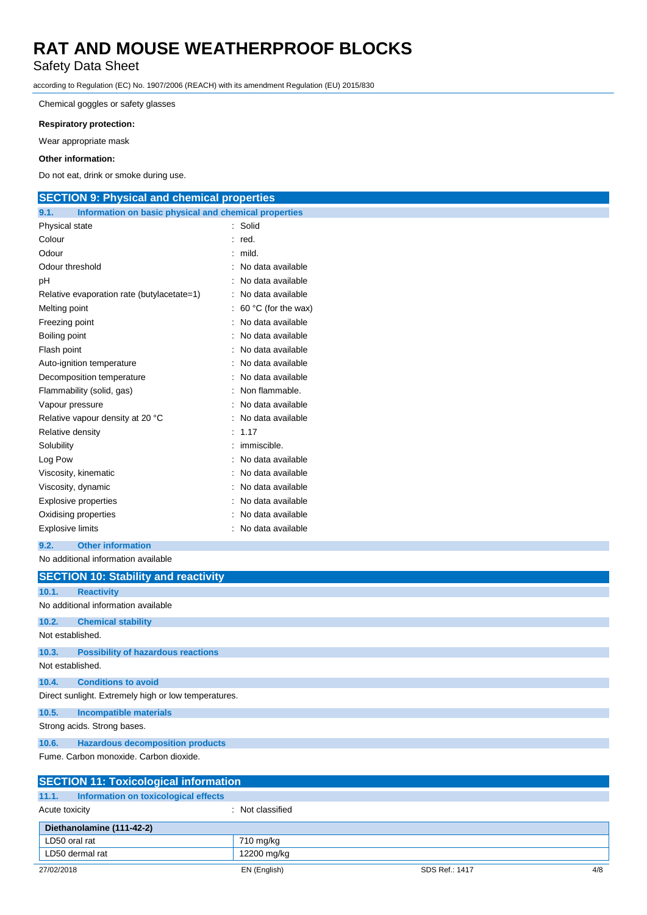## Safety Data Sheet

according to Regulation (EC) No. 1907/2006 (REACH) with its amendment Regulation (EU) 2015/830

Chemical goggles or safety glasses

## **Respiratory protection:**

Wear appropriate mask

### **Other information:**

Do not eat, drink or smoke during use.

## **SECTION 9: Physical and chemical properties**

| 9.1.<br>Information on basic physical and chemical properties |                     |
|---------------------------------------------------------------|---------------------|
| Physical state                                                | Solid               |
| Colour                                                        | red.                |
| Odour                                                         | mild.               |
| Odour threshold                                               | No data available   |
| рH                                                            | No data available   |
| Relative evaporation rate (butylacetate=1)                    | No data available   |
| Melting point                                                 | 60 °C (for the wax) |
| Freezing point                                                | No data available   |
| Boiling point                                                 | No data available   |
| Flash point                                                   | No data available   |
| Auto-ignition temperature                                     | No data available   |
| Decomposition temperature                                     | No data available   |
| Flammability (solid, gas)                                     | Non flammable.      |
| Vapour pressure                                               | No data available   |
| Relative vapour density at 20 °C                              | No data available   |
| Relative density                                              | 1.17                |
| Solubility                                                    | immiscible.         |
| Log Pow                                                       | No data available   |
| Viscosity, kinematic                                          | No data available   |
| Viscosity, dynamic                                            | No data available   |
| <b>Explosive properties</b>                                   | No data available   |
| Oxidising properties                                          | No data available   |
| <b>Explosive limits</b>                                       | No data available   |
|                                                               |                     |

**9.2. Other information**

No additional information available

|                                                                 | <b>SECTION 10: Stability and reactivity</b>          |
|-----------------------------------------------------------------|------------------------------------------------------|
| 10.1.                                                           | <b>Reactivity</b>                                    |
|                                                                 | No additional information available                  |
| 10.2.                                                           | <b>Chemical stability</b>                            |
| Not established.                                                |                                                      |
| 10.3.                                                           | <b>Possibility of hazardous reactions</b>            |
| Not established.                                                |                                                      |
| 10.4.                                                           | <b>Conditions to avoid</b>                           |
|                                                                 | Direct sunlight. Extremely high or low temperatures. |
| 10.5.                                                           | <b>Incompatible materials</b>                        |
|                                                                 | Strong acids. Strong bases.                          |
| 10.6.                                                           | <b>Hazardous decomposition products</b>              |
|                                                                 | Fume, Carbon monoxide, Carbon dioxide.               |
|                                                                 | <b>SECTION 11: Toxicological information</b>         |
| 11.1.                                                           | Information on toxicological effects                 |
| $\mathbf{A}$ and $\mathbf{A}$ and $\mathbf{A}$ and $\mathbf{A}$ | $\cdots$<br>$\cdots$                                 |

| Acute toxicity            |                 | : Not classified |                |     |
|---------------------------|-----------------|------------------|----------------|-----|
| Diethanolamine (111-42-2) |                 |                  |                |     |
| LD50 oral rat             |                 | 710 mg/kg        |                |     |
|                           | LD50 dermal rat | 12200 mg/kg      |                |     |
|                           | 27/02/2018      | EN (English)     | SDS Ref.: 1417 | 4/8 |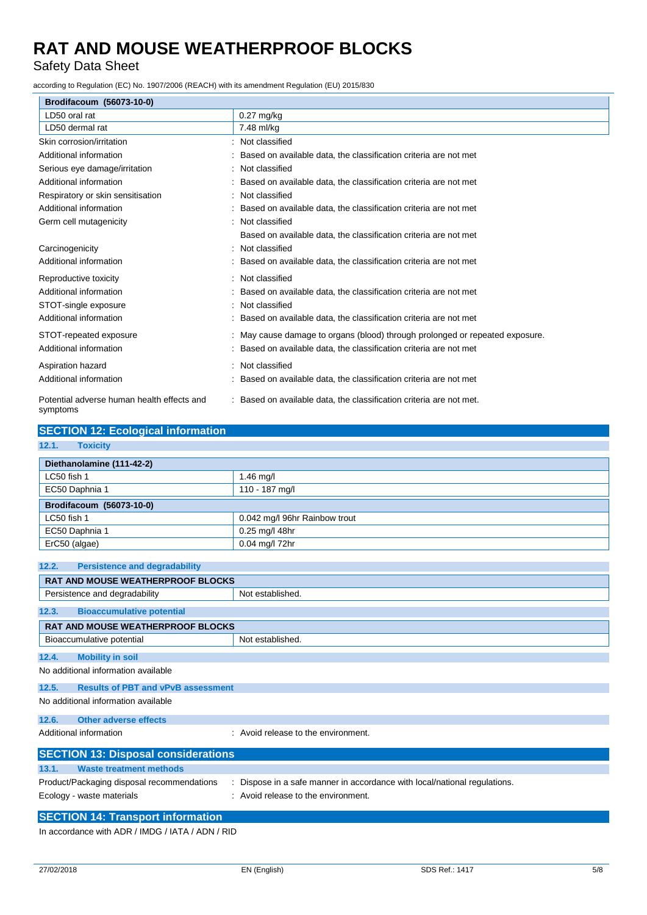Safety Data Sheet

according to Regulation (EC) No. 1907/2006 (REACH) with its amendment Regulation (EU) 2015/830

| Brodifacoum (56073-10-0)                               |                                                                            |
|--------------------------------------------------------|----------------------------------------------------------------------------|
| LD50 oral rat                                          | $0.27$ mg/kg                                                               |
| LD50 dermal rat                                        | 7.48 ml/kg                                                                 |
| Skin corrosion/irritation                              | Not classified                                                             |
| Additional information                                 | Based on available data, the classification criteria are not met           |
| Serious eye damage/irritation                          | Not classified                                                             |
| Additional information                                 | Based on available data, the classification criteria are not met           |
| Respiratory or skin sensitisation                      | Not classified                                                             |
| Additional information                                 | Based on available data, the classification criteria are not met           |
| Germ cell mutagenicity                                 | Not classified                                                             |
|                                                        | Based on available data, the classification criteria are not met           |
| Carcinogenicity                                        | Not classified                                                             |
| Additional information                                 | Based on available data, the classification criteria are not met           |
| Reproductive toxicity                                  | Not classified                                                             |
| Additional information                                 | Based on available data, the classification criteria are not met           |
| STOT-single exposure                                   | Not classified                                                             |
| Additional information                                 | Based on available data, the classification criteria are not met           |
| STOT-repeated exposure                                 | May cause damage to organs (blood) through prolonged or repeated exposure. |
| Additional information                                 | Based on available data, the classification criteria are not met           |
| Aspiration hazard                                      | Not classified                                                             |
| Additional information                                 | Based on available data, the classification criteria are not met           |
| Potential adverse human health effects and<br>symptoms | Based on available data, the classification criteria are not met.          |

| <b>SECTION 12: Ecological information</b>                |                                                                         |  |
|----------------------------------------------------------|-------------------------------------------------------------------------|--|
| 12.1.<br><b>Toxicity</b>                                 |                                                                         |  |
| Diethanolamine (111-42-2)                                |                                                                         |  |
| LC50 fish 1                                              | 1.46 mg/l                                                               |  |
| EC50 Daphnia 1                                           | 110 - 187 mg/l                                                          |  |
| Brodifacoum (56073-10-0)                                 |                                                                         |  |
| LC50 fish 1                                              | 0.042 mg/l 96hr Rainbow trout                                           |  |
| EC50 Daphnia 1                                           | 0.25 mg/l 48hr                                                          |  |
| ErC50 (algae)                                            | 0.04 mg/l 72hr                                                          |  |
|                                                          |                                                                         |  |
| <b>Persistence and degradability</b><br>12.2.            |                                                                         |  |
| <b>RAT AND MOUSE WEATHERPROOF BLOCKS</b>                 |                                                                         |  |
| Persistence and degradability                            | Not established.                                                        |  |
| <b>Bioaccumulative potential</b><br>12.3.                |                                                                         |  |
| RAT AND MOUSE WEATHERPROOF BLOCKS                        |                                                                         |  |
| Bioaccumulative potential                                | Not established.                                                        |  |
| 12.4.<br><b>Mobility in soil</b>                         |                                                                         |  |
| No additional information available                      |                                                                         |  |
| 12.5.<br><b>Results of PBT and vPvB assessment</b>       |                                                                         |  |
| No additional information available                      |                                                                         |  |
| 12.6.<br><b>Other adverse effects</b>                    |                                                                         |  |
| Additional information                                   | : Avoid release to the environment.                                     |  |
| <b>SECTION 13: Disposal considerations</b>               |                                                                         |  |
| <b>Waste treatment methods</b><br>13.1.                  |                                                                         |  |
| Product/Packaging disposal recommendations               | Dispose in a safe manner in accordance with local/national regulations. |  |
| Ecology - waste materials                                | Avoid release to the environment.                                       |  |
| <b>SECTION 14: Transport information</b>                 |                                                                         |  |
| In accordance with ADR $/$ IMDG $/$ IATA $/$ ADN $/$ RID |                                                                         |  |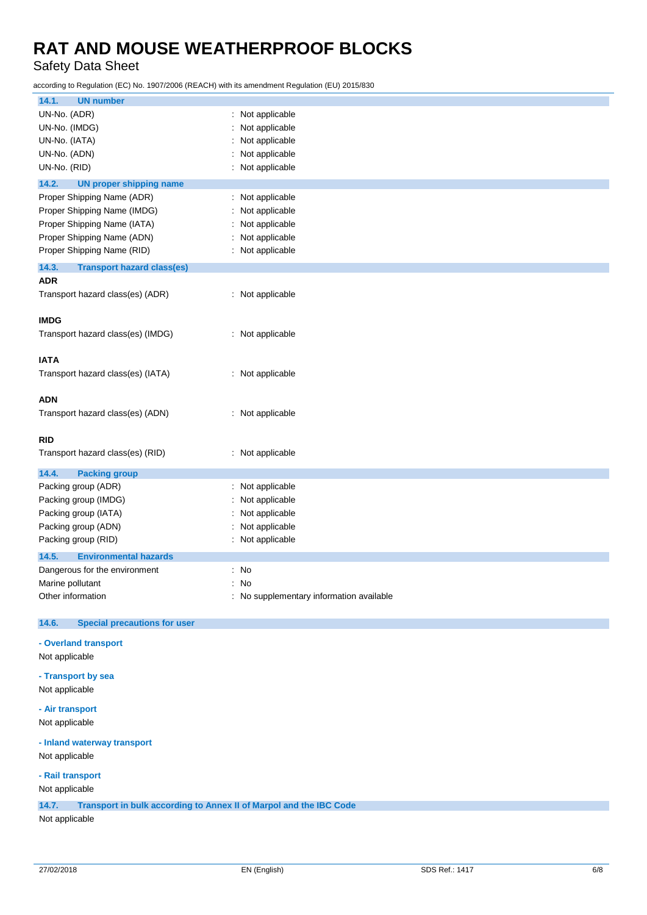Safety Data Sheet

according to Regulation (EC) No. 1907/2006 (REACH) with its amendment Regulation (EU) 2015/830

| 14.1.<br><b>UN number</b>                                                   |                                          |  |
|-----------------------------------------------------------------------------|------------------------------------------|--|
| UN-No. (ADR)                                                                | : Not applicable                         |  |
| UN-No. (IMDG)                                                               | Not applicable                           |  |
| UN-No. (IATA)                                                               | : Not applicable                         |  |
| UN-No. (ADN)                                                                | : Not applicable                         |  |
| UN-No. (RID)                                                                | : Not applicable                         |  |
| 14.2.<br><b>UN proper shipping name</b>                                     |                                          |  |
| Proper Shipping Name (ADR)                                                  | : Not applicable                         |  |
| Proper Shipping Name (IMDG)                                                 | Not applicable                           |  |
| Proper Shipping Name (IATA)                                                 | Not applicable                           |  |
| Proper Shipping Name (ADN)                                                  | Not applicable                           |  |
| Proper Shipping Name (RID)                                                  | : Not applicable                         |  |
| 14.3.<br><b>Transport hazard class(es)</b>                                  |                                          |  |
| <b>ADR</b>                                                                  |                                          |  |
| Transport hazard class(es) (ADR)                                            | : Not applicable                         |  |
|                                                                             |                                          |  |
| <b>IMDG</b>                                                                 |                                          |  |
| Transport hazard class(es) (IMDG)                                           | : Not applicable                         |  |
|                                                                             |                                          |  |
| <b>IATA</b>                                                                 |                                          |  |
| Transport hazard class(es) (IATA)                                           | : Not applicable                         |  |
|                                                                             |                                          |  |
| <b>ADN</b>                                                                  |                                          |  |
| Transport hazard class(es) (ADN)                                            | : Not applicable                         |  |
|                                                                             |                                          |  |
| <b>RID</b>                                                                  |                                          |  |
| Transport hazard class(es) (RID)                                            | : Not applicable                         |  |
| 14.4.<br><b>Packing group</b>                                               |                                          |  |
| Packing group (ADR)                                                         | : Not applicable                         |  |
| Packing group (IMDG)                                                        | : Not applicable                         |  |
| Packing group (IATA)                                                        | : Not applicable                         |  |
| Packing group (ADN)                                                         | Not applicable                           |  |
| Packing group (RID)                                                         | : Not applicable                         |  |
| 14.5.<br><b>Environmental hazards</b>                                       |                                          |  |
| Dangerous for the environment                                               | : No                                     |  |
| Marine pollutant                                                            | : No                                     |  |
| Other information                                                           | : No supplementary information available |  |
|                                                                             |                                          |  |
| 14.6.<br><b>Special precautions for user</b>                                |                                          |  |
|                                                                             |                                          |  |
| - Overland transport                                                        |                                          |  |
| Not applicable                                                              |                                          |  |
| - Transport by sea                                                          |                                          |  |
| Not applicable                                                              |                                          |  |
| - Air transport                                                             |                                          |  |
| Not applicable                                                              |                                          |  |
|                                                                             |                                          |  |
| - Inland waterway transport                                                 |                                          |  |
| Not applicable                                                              |                                          |  |
| - Rail transport                                                            |                                          |  |
| Not applicable                                                              |                                          |  |
| 14.7.<br>Transport in bulk according to Annex II of Marpol and the IBC Code |                                          |  |
| Not applicable                                                              |                                          |  |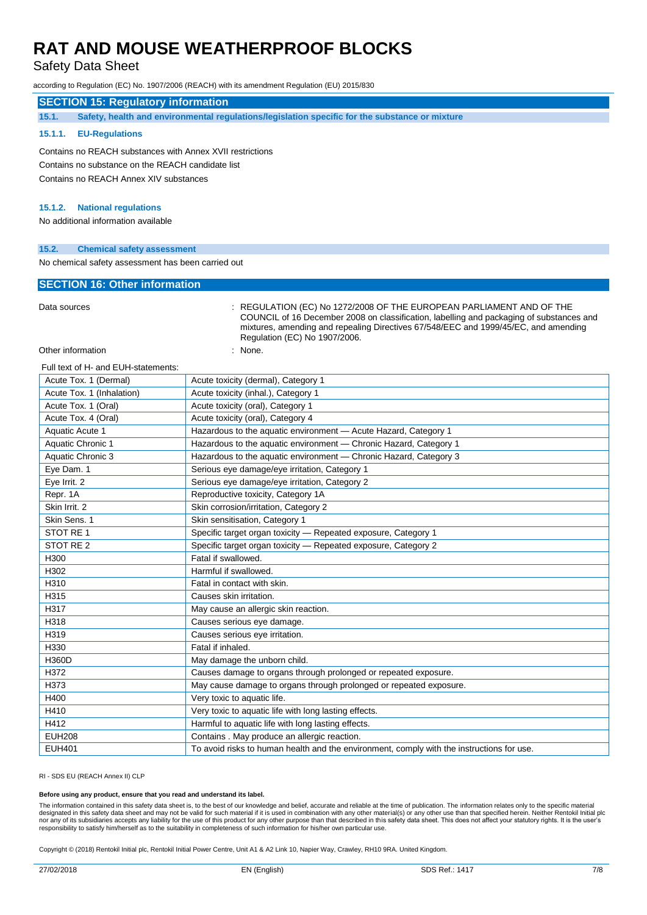## Safety Data Sheet

according to Regulation (EC) No. 1907/2006 (REACH) with its amendment Regulation (EU) 2015/830

## **SECTION 15: Regulatory information**

**15.1. Safety, health and environmental regulations/legislation specific for the substance or mixture**

### **15.1.1. EU-Regulations**

Contains no REACH substances with Annex XVII restrictions Contains no substance on the REACH candidate list Contains no REACH Annex XIV substances

#### **15.1.2. National regulations**

No additional information available

### **15.2. Chemical safety assessment**

No chemical safety assessment has been carried out

### **SECTION 16: Other information**

Data sources : REGULATION (EC) No 1272/2008 OF THE EUROPEAN PARLIAMENT AND OF THE COUNCIL of 16 December 2008 on classification, labelling and packaging of substances and mixtures, amending and repealing Directives 67/548/EEC and 1999/45/EC, and amending Regulation (EC) No 1907/2006.

Other information in the set of the set of the set of the set of the set of the set of the set of the set of the set of the set of the set of the set of the set of the set of the set of the set of the set of the set of the

## Full text of H- and EUH-statements:

| Acute Tox. 1 (Dermal)     | Acute toxicity (dermal), Category 1                                                       |
|---------------------------|-------------------------------------------------------------------------------------------|
| Acute Tox. 1 (Inhalation) | Acute toxicity (inhal.), Category 1                                                       |
| Acute Tox. 1 (Oral)       | Acute toxicity (oral), Category 1                                                         |
| Acute Tox. 4 (Oral)       | Acute toxicity (oral), Category 4                                                         |
| Aquatic Acute 1           | Hazardous to the aquatic environment - Acute Hazard, Category 1                           |
| Aquatic Chronic 1         | Hazardous to the aquatic environment - Chronic Hazard, Category 1                         |
| Aquatic Chronic 3         | Hazardous to the aquatic environment - Chronic Hazard, Category 3                         |
| Eye Dam. 1                | Serious eye damage/eye irritation, Category 1                                             |
| Eye Irrit. 2              | Serious eye damage/eye irritation, Category 2                                             |
| Repr. 1A                  | Reproductive toxicity, Category 1A                                                        |
| Skin Irrit. 2             | Skin corrosion/irritation, Category 2                                                     |
| Skin Sens. 1              | Skin sensitisation, Category 1                                                            |
| STOT RE 1                 | Specific target organ toxicity - Repeated exposure, Category 1                            |
| STOT RE <sub>2</sub>      | Specific target organ toxicity - Repeated exposure, Category 2                            |
| H300                      | Fatal if swallowed.                                                                       |
| H302                      | Harmful if swallowed.                                                                     |
| H310                      | Fatal in contact with skin.                                                               |
| H315                      | Causes skin irritation.                                                                   |
| H317                      | May cause an allergic skin reaction.                                                      |
| H318                      | Causes serious eye damage.                                                                |
| H319                      | Causes serious eye irritation.                                                            |
| H330                      | Fatal if inhaled.                                                                         |
| H360D                     | May damage the unborn child.                                                              |
| H372                      | Causes damage to organs through prolonged or repeated exposure.                           |
| H373                      | May cause damage to organs through prolonged or repeated exposure.                        |
| H400                      | Very toxic to aquatic life.                                                               |
| H410                      | Very toxic to aquatic life with long lasting effects.                                     |
| H412                      | Harmful to aquatic life with long lasting effects.                                        |
| <b>EUH208</b>             | Contains . May produce an allergic reaction.                                              |
| <b>EUH401</b>             | To avoid risks to human health and the environment, comply with the instructions for use. |

RI - SDS EU (REACH Annex II) CLP

#### **Before using any product, ensure that you read and understand its label.**

The information contained in this safety data sheet is, to the best of our knowledge and belief, accurate and reliable at the time of publication. The information relates only to the specific material designated in this safety data sheet and may not be valid for such material if it is used in combination with any other material(s) or any other use than that specified herein. Neither Rentokil Initial plc<br>nor any of its s responsibility to satisfy him/herself as to the suitability in completeness of such information for his/her own particular use.

Copyright © (2018) Rentokil Initial plc, Rentokil Initial Power Centre, Unit A1 & A2 Link 10, Napier Way, Crawley, RH10 9RA. United Kingdom.